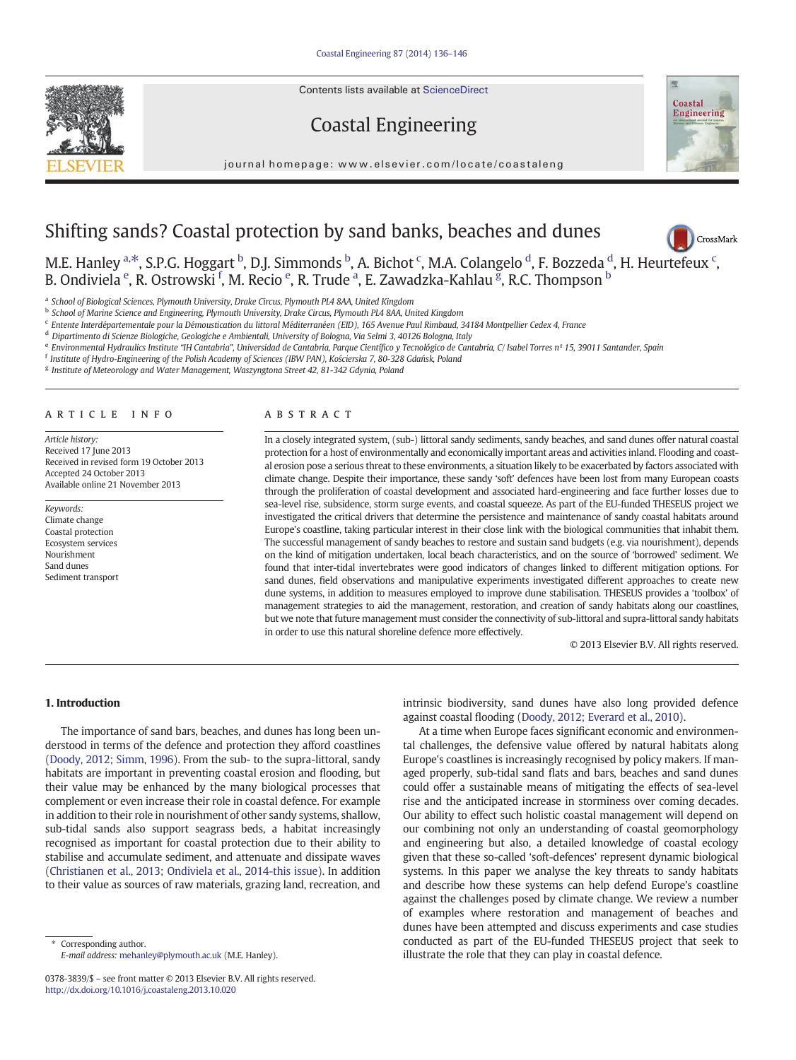Contents lists available at ScienceDirect





journal homepage: www.elsevier.com/locate/coastaleng

## Shifting sands? Coastal protection by sand banks, beaches and dunes



Coastal Engineering

M.E. Hanley <sup>a,\*</sup>, S.P.G. Hoggart <sup>b</sup>, D.J. Simmonds <sup>b</sup>, A. Bi[c](http://crossmark.crossref.org/dialog/?doi=10.1016/j.coastaleng.2013.10.020&domain=pdf)hot <sup>c</sup>, M.A. Colangelo <sup>d</sup>, F. Bozzeda <sup>d</sup>, H. Heurtefeux <sup>c</sup>, B. Ondiviela <sup>e</sup>, R. Ostrowski <sup>f</sup>, M. Recio <sup>e</sup>, R. Trude <sup>a</sup>, E. Zawadzka-Kahlau <sup>g</sup>, R.C. Thompson <sup>b</sup>

a School of Biological Sciences, Plymouth University, Drake Circus, Plymouth PL4 8AA, United Kingdom

**b School of Marine Science and Engineering, Plymouth University, Drake Circus, Plymouth PL4 8AA, United Kingdom** 

<sup>c</sup> Entente Interdépartementale pour la Démoustication du littoral Méditerranéen (EID), 165 Avenue Paul Rimbaud, 34184 Montpellier Cedex 4, France

<sup>d</sup> Dipartimento di Scienze Biologiche, Geologiche e Ambientali, University of Bologna, Via Selmi 3, 40126 Bologna, Italy

e Environmental Hydraulics Institute "IH Cantabria", Universidad de Cantabria, Parque Científico y Tecnológico de Cantabria, C/ Isabel Torres nº 15, 39011 Santander, Spain

<sup>f</sup> Institute of Hydro-Engineering of the Polish Academy of Sciences (IBW PAN), Kościerska 7, 80-328 Gdańsk, Poland

<sup>g</sup> Institute of Meteorology and Water Management, Waszyngtona Street 42, 81-342 Gdynia, Poland

### article info abstract

Article history: Received 17 June 2013 Received in revised form 19 October 2013 Accepted 24 October 2013 Available online 21 November 2013

Keywords: Climate change Coastal protection Ecosystem services Nourishment Sand dunes Sediment transport

In a closely integrated system, (sub-) littoral sandy sediments, sandy beaches, and sand dunes offer natural coastal protection for a host of environmentally and economically important areas and activities inland. Flooding and coastal erosion pose a serious threat to these environments, a situation likely to be exacerbated by factors associated with climate change. Despite their importance, these sandy 'soft' defences have been lost from many European coasts through the proliferation of coastal development and associated hard-engineering and face further losses due to sea-level rise, subsidence, storm surge events, and coastal squeeze. As part of the EU-funded THESEUS project we investigated the critical drivers that determine the persistence and maintenance of sandy coastal habitats around Europe's coastline, taking particular interest in their close link with the biological communities that inhabit them. The successful management of sandy beaches to restore and sustain sand budgets (e.g. via nourishment), depends on the kind of mitigation undertaken, local beach characteristics, and on the source of 'borrowed' sediment. We found that inter-tidal invertebrates were good indicators of changes linked to different mitigation options. For sand dunes, field observations and manipulative experiments investigated different approaches to create new dune systems, in addition to measures employed to improve dune stabilisation. THESEUS provides a 'toolbox' of management strategies to aid the management, restoration, and creation of sandy habitats along our coastlines, but we note that future management must consider the connectivity of sub-littoral and supra-littoral sandy habitats in order to use this natural shoreline defence more effectively.

© 2013 Elsevier B.V. All rights reserved.

#### 1. Introduction

The importance of sand bars, beaches, and dunes has long been understood in terms of the defence and protection they afford coastlines [\(Doody, 2012; Simm, 1996\)](#page--1-0). From the sub- to the supra-littoral, sandy habitats are important in preventing coastal erosion and flooding, but their value may be enhanced by the many biological processes that complement or even increase their role in coastal defence. For example in addition to their role in nourishment of other sandy systems, shallow, sub-tidal sands also support seagrass beds, a habitat increasingly recognised as important for coastal protection due to their ability to stabilise and accumulate sediment, and attenuate and dissipate waves [\(Christianen et al., 2013; Ondiviela et al., 2014-this issue\)](#page--1-0). In addition to their value as sources of raw materials, grazing land, recreation, and

Corresponding author. E-mail address: [mehanley@plymouth.ac.uk](mailto:mehanley@plymouth.ac.uk) (M.E. Hanley). intrinsic biodiversity, sand dunes have also long provided defence against coastal flooding [\(Doody, 2012; Everard et al., 2010](#page--1-0)).

At a time when Europe faces significant economic and environmental challenges, the defensive value offered by natural habitats along Europe's coastlines is increasingly recognised by policy makers. If managed properly, sub-tidal sand flats and bars, beaches and sand dunes could offer a sustainable means of mitigating the effects of sea-level rise and the anticipated increase in storminess over coming decades. Our ability to effect such holistic coastal management will depend on our combining not only an understanding of coastal geomorphology and engineering but also, a detailed knowledge of coastal ecology given that these so-called 'soft-defences' represent dynamic biological systems. In this paper we analyse the key threats to sandy habitats and describe how these systems can help defend Europe's coastline against the challenges posed by climate change. We review a number of examples where restoration and management of beaches and dunes have been attempted and discuss experiments and case studies conducted as part of the EU-funded THESEUS project that seek to illustrate the role that they can play in coastal defence.

<sup>0378-3839/\$</sup> – see front matter © 2013 Elsevier B.V. All rights reserved. <http://dx.doi.org/10.1016/j.coastaleng.2013.10.020>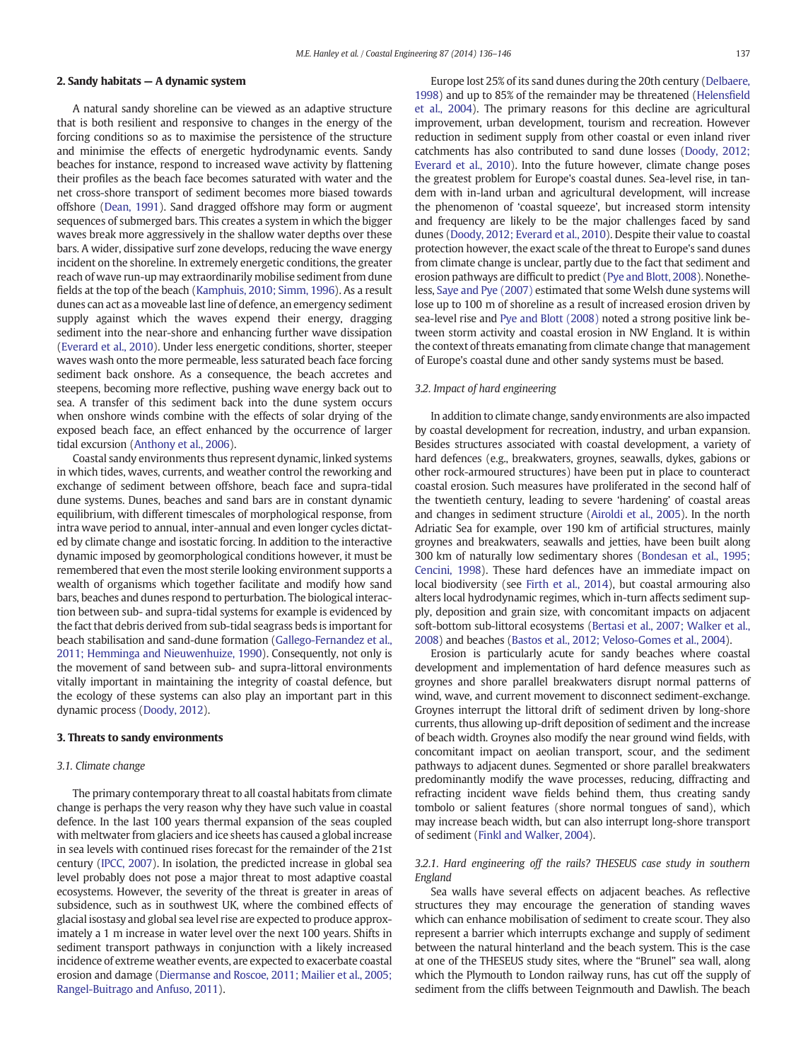#### 2. Sandy habitats — A dynamic system

A natural sandy shoreline can be viewed as an adaptive structure that is both resilient and responsive to changes in the energy of the forcing conditions so as to maximise the persistence of the structure and minimise the effects of energetic hydrodynamic events. Sandy beaches for instance, respond to increased wave activity by flattening their profiles as the beach face becomes saturated with water and the net cross-shore transport of sediment becomes more biased towards offshore [\(Dean, 1991](#page--1-0)). Sand dragged offshore may form or augment sequences of submerged bars. This creates a system in which the bigger waves break more aggressively in the shallow water depths over these bars. A wider, dissipative surf zone develops, reducing the wave energy incident on the shoreline. In extremely energetic conditions, the greater reach of wave run-up may extraordinarily mobilise sediment from dune fields at the top of the beach ([Kamphuis, 2010; Simm, 1996](#page--1-0)). As a result dunes can act as a moveable last line of defence, an emergency sediment supply against which the waves expend their energy, dragging sediment into the near-shore and enhancing further wave dissipation [\(Everard et al., 2010\)](#page--1-0). Under less energetic conditions, shorter, steeper waves wash onto the more permeable, less saturated beach face forcing sediment back onshore. As a consequence, the beach accretes and steepens, becoming more reflective, pushing wave energy back out to sea. A transfer of this sediment back into the dune system occurs when onshore winds combine with the effects of solar drying of the exposed beach face, an effect enhanced by the occurrence of larger tidal excursion [\(Anthony et al., 2006\)](#page--1-0).

Coastal sandy environments thus represent dynamic, linked systems in which tides, waves, currents, and weather control the reworking and exchange of sediment between offshore, beach face and supra-tidal dune systems. Dunes, beaches and sand bars are in constant dynamic equilibrium, with different timescales of morphological response, from intra wave period to annual, inter-annual and even longer cycles dictated by climate change and isostatic forcing. In addition to the interactive dynamic imposed by geomorphological conditions however, it must be remembered that even the most sterile looking environment supports a wealth of organisms which together facilitate and modify how sand bars, beaches and dunes respond to perturbation. The biological interaction between sub- and supra-tidal systems for example is evidenced by the fact that debris derived from sub-tidal seagrass beds is important for beach stabilisation and sand-dune formation [\(Gallego-Fernandez et al.,](#page--1-0) [2011; Hemminga and Nieuwenhuize, 1990\)](#page--1-0). Consequently, not only is the movement of sand between sub- and supra-littoral environments vitally important in maintaining the integrity of coastal defence, but the ecology of these systems can also play an important part in this dynamic process [\(Doody, 2012](#page--1-0)).

#### 3. Threats to sandy environments

#### 3.1. Climate change

The primary contemporary threat to all coastal habitats from climate change is perhaps the very reason why they have such value in coastal defence. In the last 100 years thermal expansion of the seas coupled with meltwater from glaciers and ice sheets has caused a global increase in sea levels with continued rises forecast for the remainder of the 21st century ([IPCC, 2007\)](#page--1-0). In isolation, the predicted increase in global sea level probably does not pose a major threat to most adaptive coastal ecosystems. However, the severity of the threat is greater in areas of subsidence, such as in southwest UK, where the combined effects of glacial isostasy and global sea level rise are expected to produce approximately a 1 m increase in water level over the next 100 years. Shifts in sediment transport pathways in conjunction with a likely increased incidence of extreme weather events, are expected to exacerbate coastal erosion and damage [\(Diermanse and Roscoe, 2011; Mailier et al., 2005;](#page--1-0) [Rangel-Buitrago and Anfuso, 2011](#page--1-0)).

Europe lost 25% of its sand dunes during the 20th century [\(Delbaere,](#page--1-0) [1998](#page--1-0)) and up to 85% of the remainder may be threatened ([Helens](#page--1-0)field [et al., 2004](#page--1-0)). The primary reasons for this decline are agricultural improvement, urban development, tourism and recreation. However reduction in sediment supply from other coastal or even inland river catchments has also contributed to sand dune losses ([Doody, 2012;](#page--1-0) [Everard et al., 2010](#page--1-0)). Into the future however, climate change poses the greatest problem for Europe's coastal dunes. Sea-level rise, in tandem with in-land urban and agricultural development, will increase the phenomenon of 'coastal squeeze', but increased storm intensity and frequency are likely to be the major challenges faced by sand dunes [\(Doody, 2012; Everard et al., 2010](#page--1-0)). Despite their value to coastal protection however, the exact scale of the threat to Europe's sand dunes from climate change is unclear, partly due to the fact that sediment and erosion pathways are difficult to predict [\(Pye and Blott, 2008](#page--1-0)). Nonetheless, [Saye and Pye \(2007\)](#page--1-0) estimated that some Welsh dune systems will lose up to 100 m of shoreline as a result of increased erosion driven by sea-level rise and [Pye and Blott \(2008\)](#page--1-0) noted a strong positive link between storm activity and coastal erosion in NW England. It is within the context of threats emanating from climate change that management of Europe's coastal dune and other sandy systems must be based.

#### 3.2. Impact of hard engineering

In addition to climate change, sandy environments are also impacted by coastal development for recreation, industry, and urban expansion. Besides structures associated with coastal development, a variety of hard defences (e.g., breakwaters, groynes, seawalls, dykes, gabions or other rock-armoured structures) have been put in place to counteract coastal erosion. Such measures have proliferated in the second half of the twentieth century, leading to severe 'hardening' of coastal areas and changes in sediment structure [\(Airoldi et al., 2005](#page--1-0)). In the north Adriatic Sea for example, over 190 km of artificial structures, mainly groynes and breakwaters, seawalls and jetties, have been built along 300 km of naturally low sedimentary shores [\(Bondesan et al., 1995;](#page--1-0) [Cencini, 1998](#page--1-0)). These hard defences have an immediate impact on local biodiversity (see [Firth et al., 2014](#page--1-0)), but coastal armouring also alters local hydrodynamic regimes, which in-turn affects sediment supply, deposition and grain size, with concomitant impacts on adjacent soft-bottom sub-littoral ecosystems [\(Bertasi et al., 2007; Walker et al.,](#page--1-0) [2008](#page--1-0)) and beaches [\(Bastos et al., 2012; Veloso-Gomes et al., 2004\)](#page--1-0).

Erosion is particularly acute for sandy beaches where coastal development and implementation of hard defence measures such as groynes and shore parallel breakwaters disrupt normal patterns of wind, wave, and current movement to disconnect sediment-exchange. Groynes interrupt the littoral drift of sediment driven by long-shore currents, thus allowing up-drift deposition of sediment and the increase of beach width. Groynes also modify the near ground wind fields, with concomitant impact on aeolian transport, scour, and the sediment pathways to adjacent dunes. Segmented or shore parallel breakwaters predominantly modify the wave processes, reducing, diffracting and refracting incident wave fields behind them, thus creating sandy tombolo or salient features (shore normal tongues of sand), which may increase beach width, but can also interrupt long-shore transport of sediment [\(Finkl and Walker, 2004](#page--1-0)).

#### 3.2.1. Hard engineering off the rails? THESEUS case study in southern England

Sea walls have several effects on adjacent beaches. As reflective structures they may encourage the generation of standing waves which can enhance mobilisation of sediment to create scour. They also represent a barrier which interrupts exchange and supply of sediment between the natural hinterland and the beach system. This is the case at one of the THESEUS study sites, where the "Brunel" sea wall, along which the Plymouth to London railway runs, has cut off the supply of sediment from the cliffs between Teignmouth and Dawlish. The beach